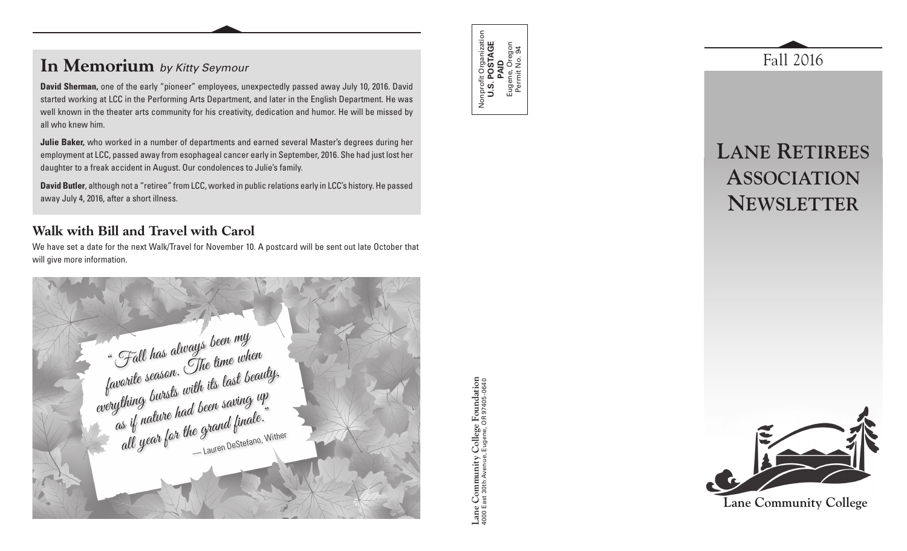# **In Memorium** *by Kitty Seymour*

**David Sherman,** one of the early "pioneer" employees, unexpectedly passed away July 10, 2016. David started working at LCC in the Performing Arts Department, and later in the English Department. He was well known in the theater arts community for his creativity, dedication and humor. He will be missed by all who knew him.

**Julie Baker,** who worked in a number of departments and earned several Master's degrees during her employment at LCC, passed away from esophageal cancer early in September, 2016. She had just lost her daughter to a freak accident in August. Our condolences to Julie's family.

**David Butler**, although not a "retiree" from LCC, worked in public relations early in LCC's history. He passed away July 4, 2016, after a short illness.

## **Walk with Bill and Travel with Carol**

We have set a date for the next Walk/Travel for November 10. A postcard will be sent out late October that will give more information.



College Foundation<br>Eugene, OR 97405-0640 **Lane Community College Foundation** 4000 East 30th Avenue, Eugene, OR 97405-0640 Lane Community

Nonprofit Organization **U.S. POSTAGE**  Nonprofit Organization<br>**U.S. POSTAGE**<br>Eugene, Oregon<br>Eugene, Oregon Eugene, Oregon Permit No. 94